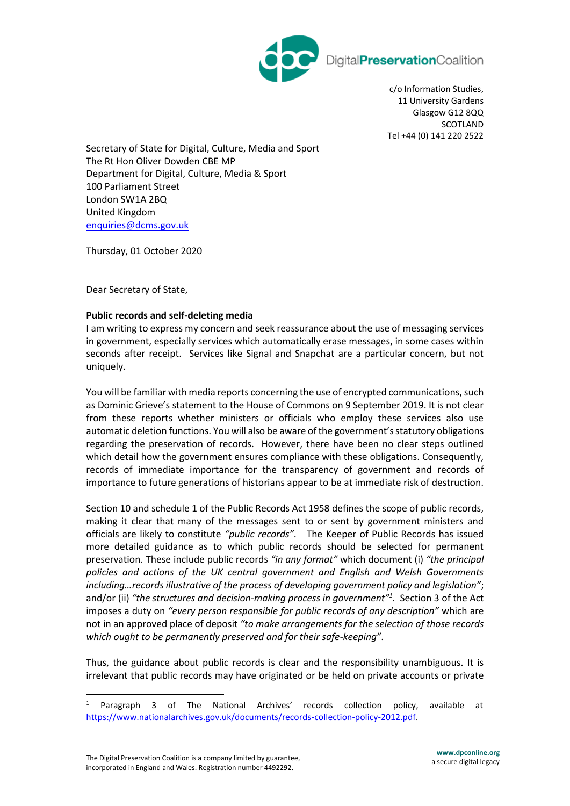

DigitalPreservationCoalition

c/o Information Studies, 11 University Gardens Glasgow G12 8QQ SCOTLAND Tel +44 (0) 141 220 2522

Secretary of State for Digital, Culture, Media and Sport The Rt Hon Oliver Dowden CBE MP Department for Digital, Culture, Media & Sport 100 Parliament Street London SW1A 2BQ United Kingdom [enquiries@dcms.gov.uk](mailto:enquiries@dcms.gov.uk)

Thursday, 01 October 2020

Dear Secretary of State,

## **Public records and self-deleting media**

I am writing to express my concern and seek reassurance about the use of messaging services in government, especially services which automatically erase messages, in some cases within seconds after receipt. Services like Signal and Snapchat are a particular concern, but not uniquely.

You will be familiar with media reports concerning the use of encrypted communications, such as Dominic Grieve's statement to the House of Commons on 9 September 2019. It is not clear from these reports whether ministers or officials who employ these services also use automatic deletion functions. You will also be aware of the government's statutory obligations regarding the preservation of records. However, there have been no clear steps outlined which detail how the government ensures compliance with these obligations. Consequently, records of immediate importance for the transparency of government and records of importance to future generations of historians appear to be at immediate risk of destruction.

Section 10 and schedule 1 of the Public Records Act 1958 defines the scope of public records, making it clear that many of the messages sent to or sent by government ministers and officials are likely to constitute *"public records"*. The Keeper of Public Records has issued more detailed guidance as to which public records should be selected for permanent preservation. These include public records *"in any format"* which document (i) *"the principal policies and actions of the UK central government and English and Welsh Governments including…records illustrative of the process of developing government policy and legislation"*; and/or (ii) *"the structures and decision-making process in government"<sup>1</sup>* . Section 3 of the Act imposes a duty on *"every person responsible for public records of any description"* which are not in an approved place of deposit *"to make arrangements for the selection of those records which ought to be permanently preserved and for their safe-keeping"*.

Thus, the guidance about public records is clear and the responsibility unambiguous. It is irrelevant that public records may have originated or be held on private accounts or private

<sup>1</sup> Paragraph 3 of The National Archives' records collection policy, available at [https://www.nationalarchives.gov.uk/documents/records-collection-policy-2012.pdf.](https://www.nationalarchives.gov.uk/documents/records-collection-policy-2012.pdf))